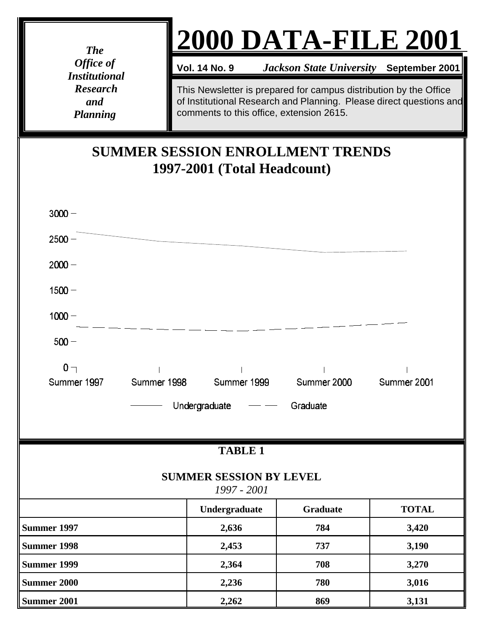*The Office of Institutional Research and Planning*

## **2000 DATA-FILE 2001**

**Vol. 14 No. 9** *Jackson State University* **September 2001** 

This Newsletter is prepared for campus distribution by the Office of Institutional Research and Planning. Please direct questions and comments to this office, extension 2615.

## **SUMMER SESSION ENROLLMENT TRENDS 1997-2001 (Total Headcount)**

| $3000 -$                                      |             |               |                         |              |  |  |  |  |  |
|-----------------------------------------------|-------------|---------------|-------------------------|--------------|--|--|--|--|--|
| $2500 -$                                      |             |               |                         |              |  |  |  |  |  |
| $2000 -$                                      |             |               |                         |              |  |  |  |  |  |
| $1500 -$                                      |             |               |                         |              |  |  |  |  |  |
| $1000 -$                                      |             |               |                         |              |  |  |  |  |  |
| $500 -$                                       |             |               |                         |              |  |  |  |  |  |
| $0 -$<br>Summer 1997                          | Summer 1998 |               | Summer 1999 Summer 2000 | Summer 2001  |  |  |  |  |  |
| Undergraduate<br>Graduate                     |             |               |                         |              |  |  |  |  |  |
| <b>TABLE 1</b>                                |             |               |                         |              |  |  |  |  |  |
| <b>SUMMER SESSION BY LEVEL</b><br>1997 - 2001 |             |               |                         |              |  |  |  |  |  |
|                                               |             | Undergraduate | <b>Graduate</b>         | <b>TOTAL</b> |  |  |  |  |  |
| Summer 1997                                   |             | 2,636         | 784                     | 3,420        |  |  |  |  |  |
| Summer 1998                                   |             | 2,453         | 737                     | 3,190        |  |  |  |  |  |
| Summer 1999                                   |             | 2,364         | 708                     | 3,270        |  |  |  |  |  |
| Summer 2000                                   |             | 2,236         | 780                     | 3,016        |  |  |  |  |  |
| Summer 2001                                   |             | 2,262         | 869                     | 3,131        |  |  |  |  |  |